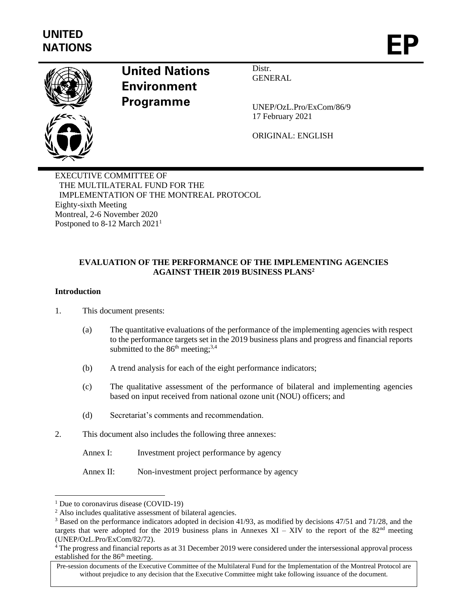

# **United Nations Environment Programme**

Distr. **GENERAL** 

UNEP/OzL.Pro/ExCom/86/9 17 February 2021

ORIGINAL: ENGLISH

EXECUTIVE COMMITTEE OF THE MULTILATERAL FUND FOR THE IMPLEMENTATION OF THE MONTREAL PROTOCOL Eighty-sixth Meeting Montreal, 2-6 November 2020 Postponed to 8-12 March 2021<sup>1</sup>

# **EVALUATION OF THE PERFORMANCE OF THE IMPLEMENTING AGENCIES AGAINST THEIR 2019 BUSINESS PLANS<sup>2</sup>**

### **Introduction**

1. This document presents:

- (a) The quantitative evaluations of the performance of the implementing agencies with respect to the performance targets set in the 2019 business plans and progress and financial reports submitted to the  $86<sup>th</sup>$  meeting;<sup>3,4</sup>
- (b) A trend analysis for each of the eight performance indicators;
- (c) The qualitative assessment of the performance of bilateral and implementing agencies based on input received from national ozone unit (NOU) officers; and
- (d) Secretariat's comments and recommendation.
- 2. This document also includes the following three annexes:
	- Annex I: Investment project performance by agency

Annex II: Non-investment project performance by agency

<sup>&</sup>lt;sup>1</sup> Due to coronavirus disease (COVID-19)

<sup>2</sup> Also includes qualitative assessment of bilateral agencies.

<sup>3</sup> Based on the performance indicators adopted in decision 41/93, as modified by decisions 47/51 and 71/28, and the targets that were adopted for the 2019 business plans in Annexes XI – XIV to the report of the  $82<sup>nd</sup>$  meeting (UNEP/OzL.Pro/ExCom/82/72).

<sup>4</sup> The progress and financial reports as at 31 December 2019 were considered under the intersessional approval process established for the 86<sup>th</sup> meeting.

Pre-session documents of the Executive Committee of the Multilateral Fund for the Implementation of the Montreal Protocol are without prejudice to any decision that the Executive Committee might take following issuance of the document.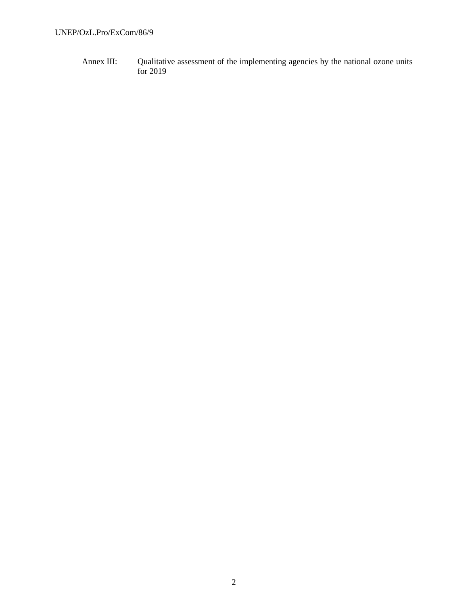Annex III: Qualitative assessment of the implementing agencies by the national ozone units for 2019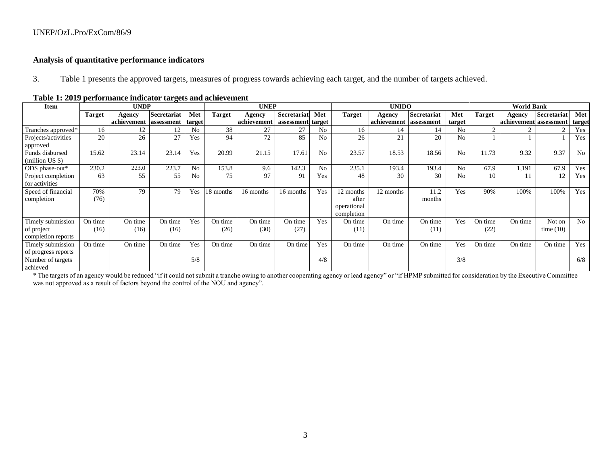### **Analysis of quantitative performance indicators**

3. Table 1 presents the approved targets, measures of progress towards achieving each target, and the number of targets achieved.

| Item                                                  |                 | <b>UNDP</b>            |                 |                |                 | <b>UNEP</b>     |                    |                |                                                 | <b>UNIDO</b>           |                 |                |                 | <b>World Bank</b>      |                       |                |
|-------------------------------------------------------|-----------------|------------------------|-----------------|----------------|-----------------|-----------------|--------------------|----------------|-------------------------------------------------|------------------------|-----------------|----------------|-----------------|------------------------|-----------------------|----------------|
|                                                       | Target          | Agency                 | Secretariat     | Met            | <b>Target</b>   | Agency          | <b>Secretariat</b> | Met            | <b>Target</b>                                   | Agency                 | Secretariat     | Met            | <b>Target</b>   | Agency                 | Secretariat           | Met            |
|                                                       |                 | achievement assessment |                 | target         |                 | achievement     | assessment target  |                |                                                 | achievement assessment |                 | target         |                 | achievement assessment |                       | target         |
| Tranches approved*                                    | 16              | 12                     | 12              | N <sub>o</sub> | 38              | 27              | 27                 | N <sub>0</sub> | 16                                              | 14                     | 14              | No             | 2               |                        | $\mathcal{D}$         | Yes            |
| Projects/activities<br>approved                       | 20              | 26                     | 27              | Yes            | 94              | 72              | 85                 | N <sub>0</sub> | 26                                              | 21                     | 20              | N <sub>0</sub> |                 |                        |                       | Yes            |
| Funds disbursed<br>(million US \$)                    | 15.62           | 23.14                  | 23.14           | Yes            | 20.99           | 21.15           | 17.61              | No             | 23.57                                           | 18.53                  | 18.56           | No             | 11.73           | 9.32                   | 9.37                  | N <sub>o</sub> |
| ODS phase-out*                                        | 230.2           | 223.0                  | 223.7           | No             | 153.8           | 9.6             | 142.3              | N <sub>0</sub> | 235.1                                           | 193.4                  | 193.4           | No             | 67.9            | 1,191                  | 67.9                  | Yes            |
| Project completion<br>for activities                  | 63              | 55                     | 55              | N <sub>o</sub> | 75              | 97              | 91                 | Yes            | 48                                              | 30                     | 30              | N <sub>o</sub> | 10              |                        | 12                    | Yes            |
| Speed of financial<br>completion                      | 70%<br>(76)     | 79                     | 79              | Yes            | 18 months       | 16 months       | 16 months          | Yes            | 12 months<br>after<br>operational<br>completion | 12 months              | 11.2<br>months  | Yes            | 90%             | 100%                   | 100%                  | Yes            |
| Timely submission<br>of project<br>completion reports | On time<br>(16) | On time<br>(16)        | On time<br>(16) | Yes            | On time<br>(26) | On time<br>(30) | On time<br>(27)    | Yes            | On time<br>(11)                                 | On time                | On time<br>(11) | Yes            | On time<br>(22) | On time                | Not on<br>time $(10)$ | N <sub>o</sub> |
| Timely submission<br>of progress reports              | On time         | On time                | On time         | Yes            | On time         | On time         | On time            | Yes            | On time                                         | On time                | On time         | Yes            | On time         | On time                | On time               | Yes            |
| Number of targets<br>achieved                         |                 |                        |                 | 5/8            |                 |                 |                    | 4/8            |                                                 |                        |                 | 3/8            |                 |                        |                       | 6/8            |

#### **Table 1: 2019 performance indicator targets and achievement**

\* The targets of an agency would be reduced "if it could not submit a tranche owing to another cooperating agency or lead agency" or "if HPMP submitted for consideration by the Executive Committee was not approved as a result of factors beyond the control of the NOU and agency".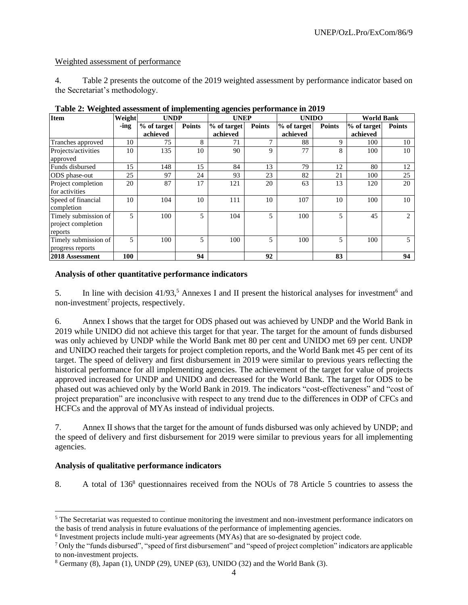### Weighted assessment of performance

4. Table 2 presents the outcome of the 2019 weighted assessment by performance indicator based on the Secretariat's methodology.

| <b>Item</b>                                           | Weight | <b>UNDP</b>             |               | <b>UNEP</b>             |               | <b>UNIDO</b>            |               | <b>World Bank</b>       |               |
|-------------------------------------------------------|--------|-------------------------|---------------|-------------------------|---------------|-------------------------|---------------|-------------------------|---------------|
|                                                       | -ing   | % of target<br>achieved | <b>Points</b> | % of target<br>achieved | <b>Points</b> | % of target<br>achieved | <b>Points</b> | % of target<br>achieved | <b>Points</b> |
| Tranches approved                                     | 10     | 75                      | 8             | 71                      | $\mathbf{r}$  | 88                      | 9             | 100                     | 10            |
| Projects/activities<br>approved                       | 10     | 135                     | 10            | 90                      | 9             | 77                      | 8             | 100                     | 10            |
| Funds disbursed                                       | 15     | 148                     | 15            | 84                      | 13            | 79                      | 12            | 80                      | 12            |
| ODS phase-out                                         | 25     | 97                      | 24            | 93                      | 23            | 82                      | 21            | 100                     | 25            |
| Project completion<br>for activities                  | 20     | 87                      | 17            | 121                     | 20            | 63                      | 13            | 120                     | 20            |
| Speed of financial<br>completion                      | 10     | 104                     | 10            | 111                     | 10            | 107                     | 10            | 100                     | 10            |
| Timely submission of<br>project completion<br>reports | 5      | 100                     | 5             | 104                     | 5             | 100                     | 5             | 45                      | 2             |
| Timely submission of<br>progress reports              | 5      | 100                     | 5             | 100                     | 5             | 100                     | 5             | 100                     | 5             |
| 2018 Assessment                                       | 100    |                         | 94            |                         | 92            |                         | 83            |                         | 94            |

**Table 2: Weighted assessment of implementing agencies performance in 2019**

### **Analysis of other quantitative performance indicators**

5. In line with decision  $41/93$ ,<sup>5</sup> Annexes I and II present the historical analyses for investment<sup>6</sup> and non-investment<sup>7</sup> projects, respectively.

6. Annex I shows that the target for ODS phased out was achieved by UNDP and the World Bank in 2019 while UNIDO did not achieve this target for that year. The target for the amount of funds disbursed was only achieved by UNDP while the World Bank met 80 per cent and UNIDO met 69 per cent. UNDP and UNIDO reached their targets for project completion reports, and the World Bank met 45 per cent of its target. The speed of delivery and first disbursement in 2019 were similar to previous years reflecting the historical performance for all implementing agencies. The achievement of the target for value of projects approved increased for UNDP and UNIDO and decreased for the World Bank. The target for ODS to be phased out was achieved only by the World Bank in 2019. The indicators "cost-effectiveness" and "cost of project preparation" are inconclusive with respect to any trend due to the differences in ODP of CFCs and HCFCs and the approval of MYAs instead of individual projects.

7. Annex II shows that the target for the amount of funds disbursed was only achieved by UNDP; and the speed of delivery and first disbursement for 2019 were similar to previous years for all implementing agencies.

#### **Analysis of qualitative performance indicators**

8. A total of 136<sup>8</sup> questionnaires received from the NOUs of 78 Article 5 countries to assess the

<sup>&</sup>lt;sup>5</sup> The Secretariat was requested to continue monitoring the investment and non-investment performance indicators on the basis of trend analysis in future evaluations of the performance of implementing agencies.

<sup>&</sup>lt;sup>6</sup> Investment projects include multi-year agreements (MYAs) that are so-designated by project code.

 $7$  Only the "funds disbursed", "speed of first disbursement" and "speed of project completion" indicators are applicable to non-investment projects.

 $8$  Germany (8), Japan (1), UNDP (29), UNEP (63), UNIDO (32) and the World Bank (3).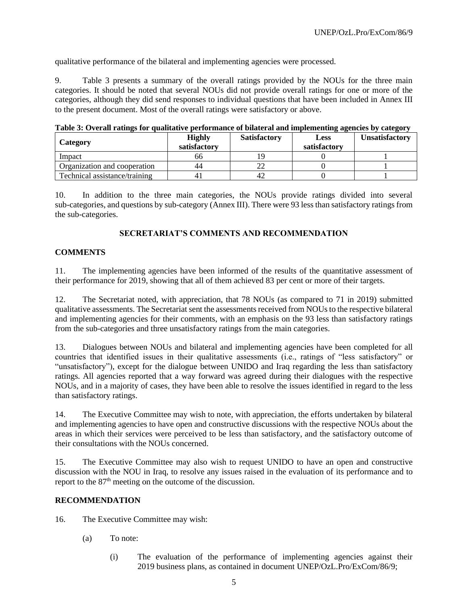qualitative performance of the bilateral and implementing agencies were processed.

9. Table 3 presents a summary of the overall ratings provided by the NOUs for the three main categories. It should be noted that several NOUs did not provide overall ratings for one or more of the categories, although they did send responses to individual questions that have been included in Annex III to the present document. Most of the overall ratings were satisfactory or above.

| <b>Category</b>               | <b>Highly</b><br>satisfactory | <b>Satisfactory</b> | <b>Less</b><br>satisfactory | <b>Unsatisfactory</b> |
|-------------------------------|-------------------------------|---------------------|-----------------------------|-----------------------|
| Impact                        | იი                            |                     |                             |                       |
| Organization and cooperation  | 44                            |                     |                             |                       |
| Technical assistance/training |                               | $4'_{\ell}$         |                             |                       |

**Table 3: Overall ratings for qualitative performance of bilateral and implementing agencies by category**

10. In addition to the three main categories, the NOUs provide ratings divided into several sub-categories, and questions by sub-category (Annex III). There were 93 less than satisfactory ratings from the sub-categories.

# **SECRETARIAT'S COMMENTS AND RECOMMENDATION**

### **COMMENTS**

11. The implementing agencies have been informed of the results of the quantitative assessment of their performance for 2019, showing that all of them achieved 83 per cent or more of their targets.

12. The Secretariat noted, with appreciation, that 78 NOUs (as compared to 71 in 2019) submitted qualitative assessments. The Secretariat sent the assessments received from NOUs to the respective bilateral and implementing agencies for their comments, with an emphasis on the 93 less than satisfactory ratings from the sub-categories and three unsatisfactory ratings from the main categories.

13. Dialogues between NOUs and bilateral and implementing agencies have been completed for all countries that identified issues in their qualitative assessments (i.e., ratings of "less satisfactory" or "unsatisfactory"), except for the dialogue between UNIDO and Iraq regarding the less than satisfactory ratings. All agencies reported that a way forward was agreed during their dialogues with the respective NOUs, and in a majority of cases, they have been able to resolve the issues identified in regard to the less than satisfactory ratings.

14. The Executive Committee may wish to note, with appreciation, the efforts undertaken by bilateral and implementing agencies to have open and constructive discussions with the respective NOUs about the areas in which their services were perceived to be less than satisfactory, and the satisfactory outcome of their consultations with the NOUs concerned.

15. The Executive Committee may also wish to request UNIDO to have an open and constructive discussion with the NOU in Iraq, to resolve any issues raised in the evaluation of its performance and to report to the 87<sup>th</sup> meeting on the outcome of the discussion.

# **RECOMMENDATION**

- 16. The Executive Committee may wish:
	- (a) To note:
		- (i) The evaluation of the performance of implementing agencies against their 2019 business plans, as contained in document UNEP/OzL.Pro/ExCom/86/9;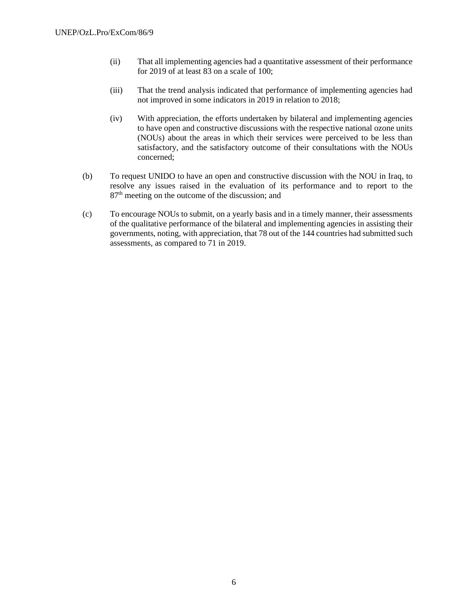- (ii) That all implementing agencies had a quantitative assessment of their performance for 2019 of at least 83 on a scale of 100;
- (iii) That the trend analysis indicated that performance of implementing agencies had not improved in some indicators in 2019 in relation to 2018;
- (iv) With appreciation, the efforts undertaken by bilateral and implementing agencies to have open and constructive discussions with the respective national ozone units (NOUs) about the areas in which their services were perceived to be less than satisfactory, and the satisfactory outcome of their consultations with the NOUs concerned;
- (b) To request UNIDO to have an open and constructive discussion with the NOU in Iraq, to resolve any issues raised in the evaluation of its performance and to report to the  $87<sup>th</sup>$  meeting on the outcome of the discussion; and
- (c) To encourage NOUs to submit, on a yearly basis and in a timely manner, their assessments of the qualitative performance of the bilateral and implementing agencies in assisting their governments, noting, with appreciation, that 78 out of the 144 countries had submitted such assessments, as compared to 71 in 2019.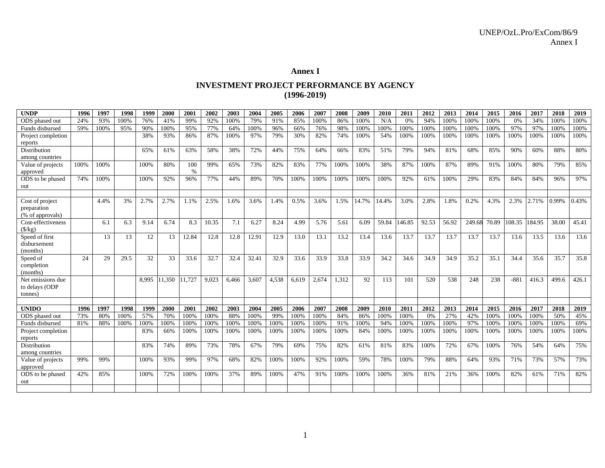# **Annex I**

# **INVESTMENT PROJECT PERFORMANCE BY AGENCY (1996-2019)**

| <b>UNDP</b>                         | 1996 | 1997 | 1998 | 1999  | 2000   | 2001   | 2002  | 2003  | 2004  | 2005  | 2006  | 2007  | 2008  | 2009  | 2010  | 201    | 2012  | 2013  | 2014   | 2015  | 2016   | 2017   | 2018  | 2019  |
|-------------------------------------|------|------|------|-------|--------|--------|-------|-------|-------|-------|-------|-------|-------|-------|-------|--------|-------|-------|--------|-------|--------|--------|-------|-------|
| ODS phased out                      | 24%  | 93%  | 100% | 76%   | 41%    | 99%    | 92%   | 100%  | 79%   | 91%   | 85%   | 100%  | 86%   | 100%  | N/A   | 0%     | 94%   | 100%  | 100%   | 100%  | 0%     | 34%    | 100%  | 100%  |
| Funds disbursed                     | 59%  | 100% | 95%  | 90%   | 100%   | 95%    | 77%   | 64%   | 100%  | 96%   | 66%   | 76%   | 98%   | 100%  | 100%  | 100%   | 100%  | 100%  | 100%   | 100%  | 97%    | 97%    | 100%  | 100%  |
| Project completion                  |      |      |      | 38%   | 93%    | 86%    | 87%   | 100%  | 97%   | 79%   | 30%   | 82%   | 74%   | 100%  | 54%   | 100%   | 100%  | 100%  | 100%   | 100%  | 100%   | 100%   | 100%  | 100%  |
| reports                             |      |      |      |       |        |        |       |       |       |       |       |       |       |       |       |        |       |       |        |       |        |        |       |       |
| <b>Distribution</b>                 |      |      |      | 65%   | 61%    | 63%    | 58%   | 38%   | 72%   | 44%   | 75%   | 64%   | 66%   | 83%   | 51%   | 79%    | 94%   | 81%   | 68%    | 85%   | 90%    | 60%    | 88%   | 80%   |
| among countries                     |      |      |      |       |        |        |       |       |       |       |       |       |       |       |       |        |       |       |        |       |        |        |       |       |
| Value of projects                   | 100% | 100% |      | 100%  | 80%    | 100    | 99%   | 65%   | 73%   | 82%   | 83%   | 77%   | 100%  | 100%  | 38%   | 87%    | 100%  | 87%   | 89%    | 91%   | 100%   | 80%    | 79%   | 85%   |
| approved                            |      |      |      |       |        | $\%$   |       |       |       |       |       |       |       |       |       |        |       |       |        |       |        |        |       |       |
| ODS to be phased                    | 74%  | 100% |      | 100%  | 92%    | 96%    | 77%   | 44%   | 89%   | 70%   | 100%  | 100%  | 100%  | 100%  | 100%  | 92%    | 61%   | 100%  | 29%    | 83%   | 84%    | 84%    | 96%   | 97%   |
| out                                 |      |      |      |       |        |        |       |       |       |       |       |       |       |       |       |        |       |       |        |       |        |        |       |       |
|                                     |      |      |      |       |        |        |       |       |       |       |       |       |       |       |       |        |       |       |        |       |        |        |       |       |
| Cost of project                     |      | 4.4% | 3%   | 2.7%  | 2.7%   | 1.1%   | 2.5%  | 1.6%  | 3.6%  | 1.4%  | 0.5%  | 3.6%  | 1.5%  | 14.7% | 14.4% | 3.0%   | 2.8%  | 1.8%  | 0.2%   | 4.3%  | 2.3%   | 2.71%  | 0.99% | 0.43% |
| preparation                         |      |      |      |       |        |        |       |       |       |       |       |       |       |       |       |        |       |       |        |       |        |        |       |       |
| (% of approvals)                    |      |      |      |       |        |        |       |       |       |       |       |       |       |       |       |        |       |       |        |       |        |        |       |       |
| Cost-effectiveness                  |      | 6.1  | 6.3  | 9.14  | 6.74   | 8.3    | 10.35 | 7.1   | 6.27  | 8.24  | 4.99  | 5.76  | 5.61  | 6.09  | 59.84 | 146.85 | 92.53 | 56.92 | 249.68 | 70.89 | 108.35 | 184.95 | 38.00 | 45.41 |
| (S/kg)                              |      |      |      |       |        |        |       |       |       |       |       |       |       |       |       |        |       |       |        |       |        |        |       |       |
| Speed of first                      |      | 13   | 13   | 12    | 13     | 12.84  | 12.8  | 12.8  | 12.91 | 12.9  | 13.0  | 13.1  | 13.2  | 13.4  | 13.6  | 13.7   | 13.7  | 13.7  | 13.7   | 13.7  | 13.6   | 13.5   | 13.6  | 13.6  |
| disbursement                        |      |      |      |       |        |        |       |       |       |       |       |       |       |       |       |        |       |       |        |       |        |        |       |       |
| (months)                            |      |      |      |       |        |        |       |       |       |       |       |       |       |       |       |        |       |       |        |       |        |        |       |       |
| Speed of                            | 24   | 29   | 29.5 | 32    | 33     | 33.6   | 32.7  | 32.4  | 32.41 | 32.9  | 33.6  | 33.9  | 33.8  | 33.9  | 34.2  | 34.6   | 34.9  | 34.9  | 35.2   | 35.1  | 34.4   | 35.6   | 35.7  | 35.8  |
| completion                          |      |      |      |       |        |        |       |       |       |       |       |       |       |       |       |        |       |       |        |       |        |        |       |       |
| (months)                            |      |      |      |       |        |        |       |       |       |       |       |       |       |       |       |        |       |       |        |       |        |        |       |       |
| Net emissions due<br>to delays (ODP |      |      |      | 8.995 | 11.350 | 11.727 | 9.023 | 6.466 | 3.607 | 4.538 | 6.619 | 2.674 | 1.312 | 92    | 113   | 101    | 520   | 538   | 248    | 238   | $-881$ | 416.3  | 499.6 | 426.1 |
| tonnes)                             |      |      |      |       |        |        |       |       |       |       |       |       |       |       |       |        |       |       |        |       |        |        |       |       |
|                                     |      |      |      |       |        |        |       |       |       |       |       |       |       |       |       |        |       |       |        |       |        |        |       |       |
| <b>UNIDO</b>                        | 1996 | 1997 | 1998 | 1999  | 2000   | 2001   | 2002  | 2003  | 2004  | 2005  | 2006  | 2007  | 2008  | 2009  | 2010  | 2011   | 2012  | 2013  | 2014   | 2015  | 2016   | 2017   | 2018  | 2019  |
| ODS phased out                      | 73%  | 80%  | 100% | 57%   | 70%    | 100%   | 100%  | 88%   | 100%  | 99%   | 100%  | 100%  | 84%   | 86%   | 100%  | 100%   | 0%    | 27%   | 42%    | 100%  | 100%   | 100%   | 50%   | 45%   |
| Funds disbursed                     | 81%  | 88%  | 100% | 100%  | 100%   | 100%   | 100%  | 100%  | 100%  | 100%  | 100%  | 100%  | 91%   | 100%  | 94%   | 100%   | 100%  | 100%  | 97%    | 100%  | 100%   | 100%   | 100%  | 69%   |
| Project completion                  |      |      |      | 83%   | 66%    | 100%   | 100%  | 100%  | 100%  | 100%  | 100%  | 100%  | 100%  | 84%   | 100%  | 100%   | 100%  | 100%  | 100%   | 100%  | 100%   | 100%   | 100%  | 100%  |
| reports                             |      |      |      |       |        |        |       |       |       |       |       |       |       |       |       |        |       |       |        |       |        |        |       |       |
| Distribution                        |      |      |      | 83%   | 74%    | 89%    | 73%   | 78%   | 67%   | 79%   | 69%   | 75%   | 82%   | 61%   | 81%   | 83%    | 100%  | 72%   | 67%    | 100%  | 76%    | 54%    | 64%   | 75%   |
| among countries                     |      |      |      |       |        |        |       |       |       |       |       |       |       |       |       |        |       |       |        |       |        |        |       |       |
| Value of projects                   | 99%  | 99%  |      | 100%  | 93%    | 99%    | 97%   | 68%   | 82%   | 100%  | 100%  | 92%   | 100%  | 59%   | 78%   | 100%   | 79%   | 88%   | 64%    | 93%   | 71%    | 73%    | 57%   | 73%   |
| approved                            |      |      |      |       |        |        |       |       |       |       |       |       |       |       |       |        |       |       |        |       |        |        |       |       |
| ODS to be phased                    | 42%  | 85%  |      | 100%  | 72%    | 100%   | 100%  | 37%   | 89%   | 100%  | 47%   | 91%   | 100%  | 100%  | 100%  | 36%    | 81%   | 21%   | 36%    | 100%  | 82%    | 61%    | 71%   | 82%   |
| out                                 |      |      |      |       |        |        |       |       |       |       |       |       |       |       |       |        |       |       |        |       |        |        |       |       |
|                                     |      |      |      |       |        |        |       |       |       |       |       |       |       |       |       |        |       |       |        |       |        |        |       |       |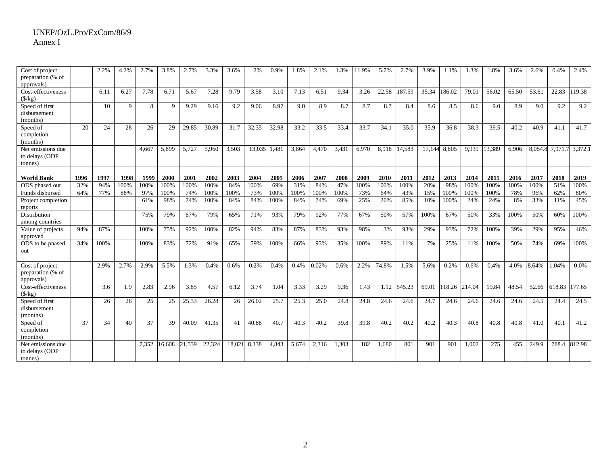| Cost of project<br>preparation (% of<br>approvals) |      | 2.2% | 4.2% | 2.7%  | 3.8%   | 2.7%   | 3.3%   | 3.6%   | 2%     | 0.9%  | 1.8%  | 2.1%  | 1.3%  | 11.9% | 5.7%  | 2.7%   | 3.9%   | 1.1%   | 1.3%   | 1.8%   | 3.6%  | 2.6%    | 0.4%    | 2.4%    |
|----------------------------------------------------|------|------|------|-------|--------|--------|--------|--------|--------|-------|-------|-------|-------|-------|-------|--------|--------|--------|--------|--------|-------|---------|---------|---------|
| Cost-effectiveness<br>$(\frac{1}{2}k)$             |      | 6.11 | 6.27 | 7.78  | 6.71   | 5.67   | 7.28   | 9.79   | 3.58   | 3.10  | 7.13  | 6.51  | 9.34  | 3.26  | 22.58 | 187.59 | 35.34  | 186.02 | 79.01  | 56.02  | 65.50 | 53.61   | 22.83   | 119.38  |
| Speed of first<br>disbursement<br>(months)         |      | 10   | 9    | 8     | 9      | 9.29   | 9.16   | 9.2    | 9.06   | 8.97  | 9.0   | 8.9   | 8.7   | 8.7   | 8.7   | 8.4    | 8.6    | 8.5    | 8.6    | 9.0    | 8.9   | 9.0     | 9.2     | 9.2     |
| Speed of<br>completion<br>(months)                 | 20   | 24   | 28   | 26    | 29     | 29.85  | 30.89  | 31.7   | 32.35  | 32.98 | 33.2  | 33.5  | 33.4  | 33.7  | 34.1  | 35.0   | 35.9   | 36.8   | 38.3   | 39.5   | 40.2  | 40.9    | 41.1    | 41.7    |
| Net emissions due<br>to delays (ODP<br>(tonnes)    |      |      |      | 4.667 | 5,899  | 5,727  | 5,960  | 3,503  | 13,035 | 1,481 | 3,864 | 4,470 | 3,431 | 6,970 | 8,918 | 14,583 | 17,144 | 8,805  | 9,939  | 13,389 | 6,906 | 8,054.8 | 7,971.7 | 3,372.1 |
| <b>World Bank</b>                                  | 1996 | 1997 | 1998 | 1999  | 2000   | 2001   | 2002   | 2003   | 2004   | 2005  | 2006  | 2007  | 2008  | 2009  | 2010  | 2011   | 2012   | 2013   | 2014   | 2015   | 2016  | 2017    | 2018    | 2019    |
| ODS phased out                                     | 32%  | 94%  | 100% | 100%  | 100%   | 100%   | 100%   | 84%    | 100%   | 69%   | 31%   | 84%   | 47%   | 100%  | 100%  | 100%   | 20%    | 98%    | 100%   | 100%   | 100%  | 100%    | 51%     | 100%    |
| Funds disbursed                                    | 64%  | 77%  | 88%  | 97%   | 100%   | 74%    | 100%   | 100%   | 73%    | 100%  | 100%  | 100%  | 100%  | 73%   | 64%   | 43%    | 15%    | 100%   | 100%   | 100%   | 78%   | 96%     | 62%     | 80%     |
| Project completion<br>reports                      |      |      |      | 61%   | 98%    | 74%    | 100%   | 84%    | 84%    | 100%  | 84%   | 74%   | 69%   | 25%   | 20%   | 85%    | 10%    | 100%   | 24%    | 24%    | 8%    | 33%     | 11%     | 45%     |
| Distribution<br>among countries                    |      |      |      | 75%   | 79%    | 67%    | 79%    | 65%    | 71%    | 93%   | 79%   | 92%   | 77%   | 67%   | 50%   | 57%    | 100%   | 67%    | 50%    | 33%    | 100%  | 50%     | 60%     | 100%    |
| Value of projects<br>approved                      | 94%  | 87%  |      | 100%  | 75%    | 92%    | 100%   | 82%    | 94%    | 83%   | 87%   | 83%   | 93%   | 98%   | 3%    | 93%    | 29%    | 93%    | 72%    | 100%   | 39%   | 29%     | 95%     | 46%     |
| ODS to be phased<br>out                            | 34%  | 100% |      | 100%  | 83%    | 72%    | 91%    | 65%    | 59%    | 100%  | 66%   | 93%   | 35%   | 100%  | 89%   | 11%    | 7%     | 25%    | 11%    | 100%   | 50%   | 74%     | 69%     | 100%    |
|                                                    |      |      |      |       |        |        |        |        |        |       |       |       |       |       |       |        |        |        |        |        |       |         |         |         |
| Cost of project<br>preparation (% of<br>approvals) |      | 2.9% | 2.7% | 2.9%  | 5.5%   | 1.3%   | 0.4%   | 0.6%   | 0.2%   | 0.4%  | 0.4%  | 0.02% | 0.6%  | 2.2%  | 74.8% | 1.5%   | 5.6%   | 0.2%   | 0.6%   | 0.4%   | 4.0%  | 8.64%   | 1.04%   | 0.0%    |
| Cost-effectiveness<br>$(\frac{f}{g})$              |      | 3.6  | 1.9  | 2.83  | 2.96   | 3.85   | 4.57   | 6.12   | 3.74   | 1.04  | 3.33  | 3.29  | 9.36  | 1.43  | 1.12  | 545.23 | 69.01  | 118.26 | 214.04 | 19.84  | 48.54 | 52.66   | 618.83  | 177.65  |
| Speed of first<br>disbursement<br>(months)         |      | 26   | 26   | 25    | 25     | 25.33  | 26.28  | 26     | 26.02  | 25.7  | 25.3  | 25.0  | 24.8  | 24.8  | 24.6  | 24.6   | 24.7   | 24.6   | 24.6   | 24.6   | 24.6  | 24.5    | 24.4    | 24.5    |
| Speed of<br>completion<br>(months)                 | 37   | 34   | 40   | 37    | 39     | 40.09  | 41.35  | 41     | 40.88  | 40.7  | 40.3  | 40.2  | 39.8  | 39.8  | 40.2  | 40.2   | 40.2   | 40.3   | 40.8   | 40.8   | 40.8  | 41.0    | 40.1    | 41.2    |
| Net emissions due<br>to delays (ODP<br>tonnes)     |      |      |      | 7.352 | 16.608 | 21.539 | 22.324 | 18.021 | 8.338  | 4.843 | 5,674 | 2.316 | 1.303 | 182   | 1.680 | 801    | 901    | 901    | 1.002  | 275    | 455   | 249.9   | 788.4   | 812.98  |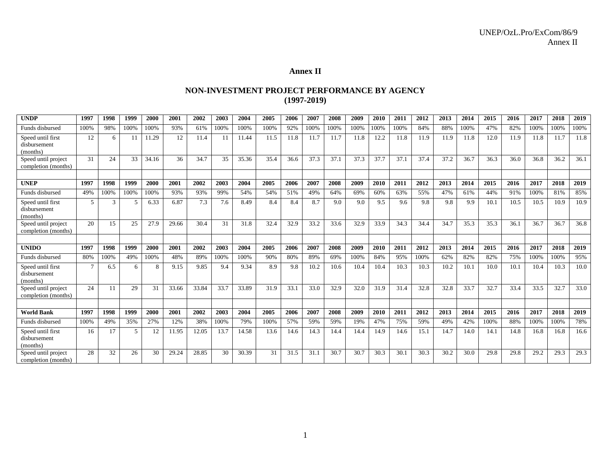# **Annex II**

# **NON-INVESTMENT PROJECT PERFORMANCE BY AGENCY (1997-2019)**

| <b>UNDP</b>                                   | 1997 | 1998 | 1999 | 2000  | 2001  | 2002  | 2003 | 2004  | 2005 | 2006 | 2007 | 2008 | 2009 | 2010 | 2011 | 2012 | 2013 | 2014 | 2015 | 2016 | 2017 | 2018 | 2019 |
|-----------------------------------------------|------|------|------|-------|-------|-------|------|-------|------|------|------|------|------|------|------|------|------|------|------|------|------|------|------|
| Funds disbursed                               | 100% | 98%  | 100% | 100%  | 93%   | 61%   | 100% | 100%  | 100% | 92%  | 100% | 100% | 100% | 100% | 100% | 84%  | 88%  | 100% | 47%  | 82%  | 100% | 100% | 100% |
| Speed until first<br>disbursement<br>(months) | 12   | 6    | 11   | 11.29 | 12    | 11.4  | 11   | 11.44 | 11.5 | 11.8 | 11.7 | 11.7 | 11.8 | 12.2 | 11.8 | 11.9 | 11.9 | 11.8 | 12.0 | 11.9 | 11.8 | 11.7 | 11.8 |
| Speed until project<br>completion (months)    | 31   | 24   | 33   | 34.16 | 36    | 34.7  | 35   | 35.36 | 35.4 | 36.6 | 37.3 | 37.1 | 37.3 | 37.7 | 37.1 | 37.4 | 37.2 | 36.7 | 36.3 | 36.0 | 36.8 | 36.2 | 36.1 |
|                                               |      |      |      |       |       |       |      |       |      |      |      |      |      |      |      |      |      |      |      |      |      |      |      |
| <b>UNEP</b>                                   | 1997 | 1998 | 1999 | 2000  | 2001  | 2002  | 2003 | 2004  | 2005 | 2006 | 2007 | 2008 | 2009 | 2010 | 2011 | 2012 | 2013 | 2014 | 2015 | 2016 | 2017 | 2018 | 2019 |
| Funds disbursed                               | 49%  | 100% | 100% | 100%  | 93%   | 93%   | 99%  | 54%   | 54%  | 51%  | 49%  | 64%  | 69%  | 60%  | 63%  | 55%  | 47%  | 61%  | 44%  | 91%  | 100% | 81%  | 85%  |
| Speed until first<br>disbursement<br>(months) | .5   | 3    | .5   | 6.33  | 6.87  | 7.3   | 7.6  | 8.49  | 8.4  | 8.4  | 8.7  | 9.0  | 9.0  | 9.5  | 9.6  | 9.8  | 9.8  | 9.9  | 10.1 | 10.5 | 10.5 | 10.9 | 10.9 |
| Speed until project<br>completion (months)    | 20   | 15   | 25   | 27.9  | 29.66 | 30.4  | 31   | 31.8  | 32.4 | 32.9 | 33.2 | 33.6 | 32.9 | 33.9 | 34.3 | 34.4 | 34.7 | 35.3 | 35.3 | 36.1 | 36.7 | 36.7 | 36.8 |
|                                               |      |      |      |       |       |       |      |       |      |      |      |      |      |      |      |      |      |      |      |      |      |      |      |
| <b>UNIDO</b>                                  | 1997 | 1998 | 1999 | 2000  | 2001  | 2002  | 2003 | 2004  | 2005 | 2006 | 2007 | 2008 | 2009 | 2010 | 2011 | 2012 | 2013 | 2014 | 2015 | 2016 | 2017 | 2018 | 2019 |
| Funds disbursed                               | 80%  | 100% | 49%  | 100%  | 48%   | 89%   | 100% | 100%  | 90%  | 80%  | 89%  | 69%  | 100% | 84%  | 95%  | 100% | 62%  | 82%  | 82%  | 75%  | 100% | 100% | 95%  |
| Speed until first<br>disbursement<br>(months) |      | 6.5  | 6    | 8     | 9.15  | 9.85  | 9.4  | 9.34  | 8.9  | 9.8  | 10.2 | 10.6 | 10.4 | 10.4 | 10.3 | 10.3 | 10.2 | 10.1 | 10.0 | 10.1 | 10.4 | 10.3 | 10.0 |
| Speed until project<br>completion (months)    | 24   | 11   | 29   | 31    | 33.66 | 33.84 | 33.7 | 33.89 | 31.9 | 33.1 | 33.0 | 32.9 | 32.0 | 31.9 | 31.4 | 32.8 | 32.8 | 33.7 | 32.7 | 33.4 | 33.5 | 32.7 | 33.0 |
|                                               |      |      |      |       |       |       |      |       |      |      |      |      |      |      |      |      |      |      |      |      |      |      |      |
| <b>World Bank</b>                             | 1997 | 1998 | 1999 | 2000  | 2001  | 2002  | 2003 | 2004  | 2005 | 2006 | 2007 | 2008 | 2009 | 2010 | 2011 | 2012 | 2013 | 2014 | 2015 | 2016 | 2017 | 2018 | 2019 |
| Funds disbursed                               | 100% | 49%  | 35%  | 27%   | 12%   | 38%   | 100% | 79%   | 100% | 57%  | 59%  | 59%  | 19%  | 47%  | 75%  | 59%  | 49%  | 42%  | 100% | 88%  | 100% | 100% | 78%  |
| Speed until first<br>disbursement<br>(months) | 16   | 17   | 5    | 12    | 11.95 | 12.05 | 13.7 | 14.58 | 13.6 | 14.6 | 14.3 | 14.4 | 14.4 | 14.9 | 14.6 | 15.1 | 14.7 | 14.0 | 14.1 | 14.8 | 16.8 | 16.8 | 16.6 |
| Speed until project<br>completion (months)    | 28   | 32   | 26   | 30    | 29.24 | 28.85 | 30   | 30.39 | 31   | 31.5 | 31.1 | 30.7 | 30.7 | 30.3 | 30.1 | 30.3 | 30.2 | 30.0 | 29.8 | 29.8 | 29.2 | 29.3 | 29.3 |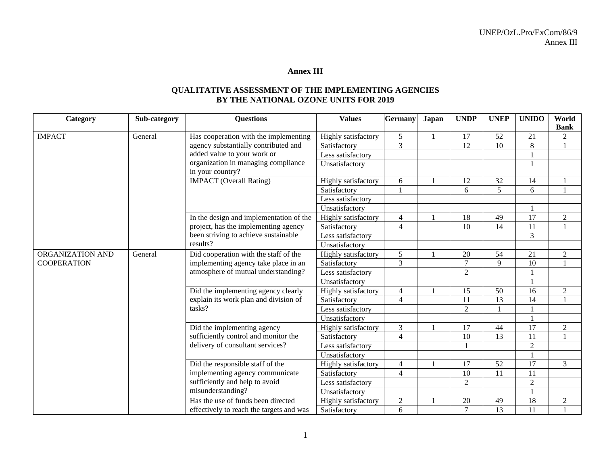# **Annex III**

## **QUALITATIVE ASSESSMENT OF THE IMPLEMENTING AGENCIES BY THE NATIONAL OZONE UNITS FOR 2019**

| Category           | Sub-category | <b>Questions</b>                                                               | <b>Values</b>       | Germany        | Japan  | <b>UNDP</b>    | <b>UNEP</b>    | <b>UNIDO</b>   | World<br><b>Bank</b> |
|--------------------|--------------|--------------------------------------------------------------------------------|---------------------|----------------|--------|----------------|----------------|----------------|----------------------|
| <b>IMPACT</b>      | General      | Has cooperation with the implementing                                          | Highly satisfactory | 5              |        | 17             | 52             | 21             | $\overline{2}$       |
|                    |              | agency substantially contributed and                                           | Satisfactory        | $\overline{3}$ |        | 12             | 10             | $\,8\,$        |                      |
|                    |              | added value to your work or                                                    | Less satisfactory   |                |        |                |                |                |                      |
|                    |              | organization in managing compliance<br>in your country?                        | Unsatisfactory      |                |        |                |                |                |                      |
|                    |              | <b>IMPACT</b> (Overall Rating)                                                 | Highly satisfactory | 6              |        | 12             | 32             | 14             |                      |
|                    |              |                                                                                | Satisfactory        |                |        | 6              | $\overline{5}$ | 6              |                      |
|                    |              |                                                                                | Less satisfactory   |                |        |                |                |                |                      |
|                    |              |                                                                                | Unsatisfactory      |                |        |                |                |                |                      |
|                    |              | In the design and implementation of the                                        | Highly satisfactory | $\overline{4}$ |        | 18             | 49             | 17             | $\overline{2}$       |
|                    |              | project, has the implementing agency                                           | Satisfactory        | $\overline{4}$ |        | 10             | 14             | 11             |                      |
|                    |              | been striving to achieve sustainable                                           | Less satisfactory   |                |        |                |                | 3              |                      |
|                    |              | results?                                                                       | Unsatisfactory      |                |        |                |                |                |                      |
| ORGANIZATION AND   | General      | Did cooperation with the staff of the                                          | Highly satisfactory | 5              |        | 20             | 54             | 21             | $\sqrt{2}$           |
| <b>COOPERATION</b> |              | implementing agency take place in an                                           | Satisfactory        | 3              |        | $\tau$         | 9              | 10             |                      |
|                    |              | atmosphere of mutual understanding?                                            | Less satisfactory   |                |        | $\overline{2}$ |                |                |                      |
|                    |              |                                                                                | Unsatisfactory      |                |        |                |                |                |                      |
|                    |              | Did the implementing agency clearly                                            | Highly satisfactory | 4              |        | 15             | 50             | 16             | $\sqrt{2}$           |
|                    |              | explain its work plan and division of                                          | Satisfactory        | $\overline{4}$ |        | 11             | 13             | 14             |                      |
|                    |              | tasks?                                                                         | Less satisfactory   |                |        | $\overline{2}$ |                |                |                      |
|                    |              |                                                                                | Unsatisfactory      |                |        |                |                |                |                      |
|                    |              | Did the implementing agency                                                    | Highly satisfactory | $\overline{3}$ |        | 17             | 44             | 17             | $\sqrt{2}$           |
|                    |              | sufficiently control and monitor the                                           | Satisfactory        | $\overline{4}$ |        | 10             | 13             | 11             |                      |
|                    |              | delivery of consultant services?                                               | Less satisfactory   |                |        |                |                | $\overline{2}$ |                      |
|                    |              |                                                                                | Unsatisfactory      |                |        |                |                |                |                      |
|                    |              | Did the responsible staff of the                                               | Highly satisfactory | $\overline{4}$ |        | 17             | 52             | 17             | $\mathfrak{Z}$       |
|                    |              | implementing agency communicate                                                | Satisfactory        | $\overline{4}$ |        | 10             | 11             | 11             |                      |
|                    |              | sufficiently and help to avoid                                                 | Less satisfactory   |                |        | $\overline{2}$ |                | $\overline{2}$ |                      |
|                    |              | misunderstanding?                                                              | Unsatisfactory      |                |        |                |                |                |                      |
|                    |              | Has the use of funds been directed<br>effectively to reach the targets and was | Highly satisfactory | $\overline{2}$ |        | 20             | 49             | 18             | $\overline{c}$       |
|                    |              | Satisfactory                                                                   | 6                   |                | $\tau$ | 13             | 11             |                |                      |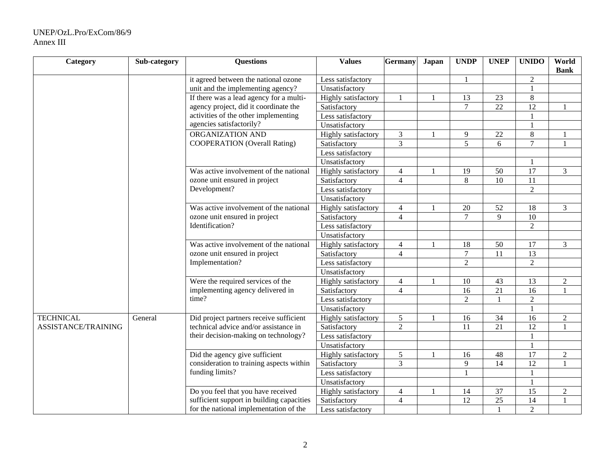#### UNEP/OzL.Pro/ExCom/86/9 Annex III

| Category            | Sub-category | <b>Questions</b>                          | <b>Values</b>              | Germany        | Japan | <b>UNDP</b>    | <b>UNEP</b>     | <b>UNIDO</b>    | World<br><b>Bank</b> |
|---------------------|--------------|-------------------------------------------|----------------------------|----------------|-------|----------------|-----------------|-----------------|----------------------|
|                     |              | it agreed between the national ozone      | Less satisfactory          |                |       |                |                 | $\overline{2}$  |                      |
|                     |              | unit and the implementing agency?         | Unsatisfactory             |                |       |                |                 |                 |                      |
|                     |              | If there was a lead agency for a multi-   | Highly satisfactory        |                |       | 13             | 23              | $8\,$           |                      |
|                     |              | agency project, did it coordinate the     | Satisfactory               |                |       | $\overline{7}$ | $\overline{22}$ | 12              |                      |
|                     |              | activities of the other implementing      | Less satisfactory          |                |       |                |                 |                 |                      |
|                     |              | agencies satisfactorily?                  | Unsatisfactory             |                |       |                |                 |                 |                      |
|                     |              | ORGANIZATION AND                          | <b>Highly</b> satisfactory | $\mathfrak{Z}$ |       | 9              | 22              | $8\,$           |                      |
|                     |              | <b>COOPERATION</b> (Overall Rating)       | Satisfactory               | $\overline{3}$ |       | $\overline{5}$ | 6               | $\overline{7}$  | $\mathbf{1}$         |
|                     |              |                                           | Less satisfactory          |                |       |                |                 |                 |                      |
|                     |              |                                           | Unsatisfactory             |                |       |                |                 |                 |                      |
|                     |              | Was active involvement of the national    | Highly satisfactory        | $\overline{4}$ |       | 19             | 50              | $\overline{17}$ | $\mathfrak{Z}$       |
|                     |              | ozone unit ensured in project             | Satisfactory               | $\overline{4}$ |       | 8              | $\overline{10}$ | 11              |                      |
|                     |              | Development?                              | Less satisfactory          |                |       |                |                 | $\overline{2}$  |                      |
|                     |              |                                           | Unsatisfactory             |                |       |                |                 |                 |                      |
|                     |              | Was active involvement of the national    | <b>Highly</b> satisfactory | $\overline{4}$ |       | 20             | 52              | 18              | $\overline{3}$       |
|                     |              | ozone unit ensured in project             | Satisfactory               | $\overline{4}$ |       | $\overline{7}$ | 9               | $\overline{10}$ |                      |
|                     |              | Identification?                           | Less satisfactory          |                |       |                |                 | $\overline{2}$  |                      |
|                     |              |                                           | Unsatisfactory             |                |       |                |                 |                 |                      |
|                     |              | Was active involvement of the national    | Highly satisfactory        | $\overline{4}$ |       | 18             | 50              | 17              | $\overline{3}$       |
|                     |              | ozone unit ensured in project             | Satisfactory               | $\overline{4}$ |       | $\overline{7}$ | 11              | 13              |                      |
|                     |              | Implementation?                           | Less satisfactory          |                |       | $\overline{2}$ |                 | $\overline{2}$  |                      |
|                     |              |                                           | Unsatisfactory             |                |       |                |                 |                 |                      |
|                     |              | Were the required services of the         | Highly satisfactory        | $\overline{4}$ |       | 10             | 43              | 13              | $\boldsymbol{2}$     |
|                     |              | implementing agency delivered in          | Satisfactory               | $\overline{4}$ |       | 16             | 21              | 16              |                      |
|                     |              | time?                                     | Less satisfactory          |                |       | $\overline{2}$ |                 | $\overline{2}$  |                      |
|                     |              |                                           | Unsatisfactory             |                |       |                |                 |                 |                      |
| <b>TECHNICAL</b>    | General      | Did project partners receive sufficient   | Highly satisfactory        | 5              |       | 16             | 34              | $\overline{16}$ | $\overline{2}$       |
| ASSISTANCE/TRAINING |              | technical advice and/or assistance in     | Satisfactory               | $\overline{2}$ |       | 11             | $\overline{21}$ | $\overline{12}$ | $\overline{1}$       |
|                     |              | their decision-making on technology?      | Less satisfactory          |                |       |                |                 |                 |                      |
|                     |              |                                           | Unsatisfactory             |                |       |                |                 |                 |                      |
|                     |              | Did the agency give sufficient            | Highly satisfactory        | 5              |       | 16             | 48              | 17              | $\overline{2}$       |
|                     |              | consideration to training aspects within  | Satisfactory               | $\overline{3}$ |       | 9              | 14              | 12              | $\mathbf{1}$         |
|                     |              | funding limits?                           | Less satisfactory          |                |       | 1              |                 |                 |                      |
|                     |              |                                           | Unsatisfactory             |                |       |                |                 |                 |                      |
|                     |              | Do you feel that you have received        | Highly satisfactory        | $\overline{4}$ |       | 14             | 37              | 15              | $\boldsymbol{2}$     |
|                     |              | sufficient support in building capacities | Satisfactory               | $\overline{4}$ |       | 12             | $\overline{25}$ | 14              |                      |
|                     |              | for the national implementation of the    | Less satisfactory          |                |       |                |                 | $\overline{2}$  |                      |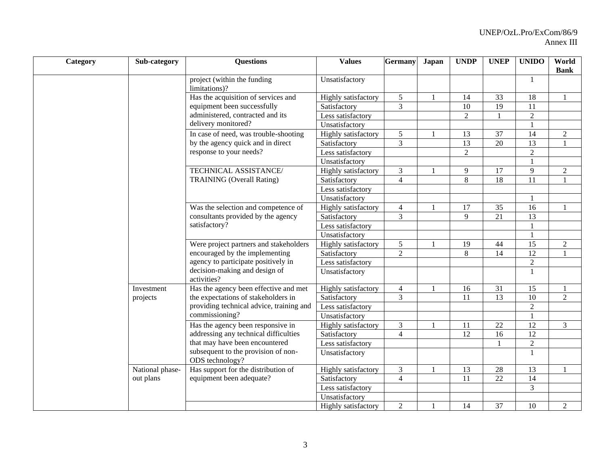| Category | Sub-category    | <b>Questions</b>                                       | <b>Values</b>              | <b>Germany</b> | <b>Japan</b> | <b>UNDP</b>    | <b>UNEP</b>     | <b>UNIDO</b>    | World<br><b>Bank</b> |
|----------|-----------------|--------------------------------------------------------|----------------------------|----------------|--------------|----------------|-----------------|-----------------|----------------------|
|          |                 | project (within the funding<br>limitations)?           | Unsatisfactory             |                |              |                |                 |                 |                      |
|          |                 | Has the acquisition of services and                    | Highly satisfactory        | $\sqrt{5}$     |              | 14             | 33              | 18              |                      |
|          |                 | equipment been successfully                            | Satisfactory               | $\overline{3}$ |              | 10             | 19              | 11              |                      |
|          |                 | administered, contracted and its                       | Less satisfactory          |                |              | $\overline{2}$ |                 | $\overline{2}$  |                      |
|          |                 | delivery monitored?                                    | Unsatisfactory             |                |              |                |                 | $\mathbf{1}$    |                      |
|          |                 | In case of need, was trouble-shooting                  | Highly satisfactory        | 5              |              | 13             | 37              | 14              | $\overline{2}$       |
|          |                 | by the agency quick and in direct                      | Satisfactory               | $\overline{3}$ |              | 13             | 20              | 13              |                      |
|          |                 | response to your needs?                                | Less satisfactory          |                |              | $\overline{2}$ |                 | $\overline{2}$  |                      |
|          |                 |                                                        | Unsatisfactory             |                |              |                |                 | $\mathbf{1}$    |                      |
|          |                 | TECHNICAL ASSISTANCE/                                  | Highly satisfactory        | $\mathfrak{Z}$ |              | 9              | 17              | 9               | $\boldsymbol{2}$     |
|          |                 | <b>TRAINING</b> (Overall Rating)                       | Satisfactory               | $\overline{4}$ |              | $\,8\,$        | 18              | 11              |                      |
|          |                 |                                                        | Less satisfactory          |                |              |                |                 |                 |                      |
|          |                 |                                                        | Unsatisfactory             |                |              |                |                 |                 |                      |
|          |                 | Was the selection and competence of                    | Highly satisfactory        | $\overline{4}$ |              | 17             | 35              | 16              |                      |
|          |                 | consultants provided by the agency                     | Satisfactory               | $\overline{3}$ |              | $\mathbf{Q}$   | 21              | 13              |                      |
|          |                 | satisfactory?                                          | Less satisfactory          |                |              |                |                 | $\mathbf{1}$    |                      |
|          |                 |                                                        | Unsatisfactory             |                |              |                |                 | $\mathbf{1}$    |                      |
|          |                 | Were project partners and stakeholders                 | Highly satisfactory        | 5              |              | 19             | 44              | 15              | $\overline{2}$       |
|          |                 | encouraged by the implementing                         | Satisfactory               | $\overline{2}$ |              | 8              | 14              | $\overline{12}$ |                      |
|          |                 | agency to participate positively in                    | Less satisfactory          |                |              |                |                 | $\overline{2}$  |                      |
|          |                 | decision-making and design of<br>activities?           | Unsatisfactory             |                |              |                |                 | $\mathbf{1}$    |                      |
|          | Investment      | Has the agency been effective and met                  | Highly satisfactory        | $\overline{4}$ |              | 16             | 31              | 15              |                      |
|          | projects        | the expectations of stakeholders in                    | Satisfactory               | $\overline{3}$ |              | 11             | 13              | 10              | $\overline{2}$       |
|          |                 | providing technical advice, training and               | Less satisfactory          |                |              |                |                 | $\sqrt{2}$      |                      |
|          |                 | commissioning?                                         | Unsatisfactory             |                |              |                |                 |                 |                      |
|          |                 | Has the agency been responsive in                      | Highly satisfactory        | $\mathfrak{Z}$ |              | 11             | 22              | 12              | 3                    |
|          |                 | addressing any technical difficulties                  | Satisfactory               | $\overline{4}$ |              | 12             | 16              | $\overline{12}$ |                      |
|          |                 | that may have been encountered                         | Less satisfactory          |                |              |                |                 | $\overline{2}$  |                      |
|          |                 | subsequent to the provision of non-<br>ODS technology? | Unsatisfactory             |                |              |                |                 | $\mathbf{1}$    |                      |
|          | National phase- | Has support for the distribution of                    | <b>Highly</b> satisfactory | $\mathfrak{Z}$ |              | 13             | 28              | 13              |                      |
|          | out plans       | equipment been adequate?                               | Satisfactory               | $\overline{4}$ |              | 11             | $\overline{22}$ | $\overline{14}$ |                      |
|          |                 |                                                        | Less satisfactory          |                |              |                |                 | $\overline{3}$  |                      |
|          |                 |                                                        | Unsatisfactory             |                |              |                |                 |                 |                      |
|          |                 |                                                        | Highly satisfactory        | $\overline{2}$ |              | 14             | 37              | 10              | $\overline{2}$       |